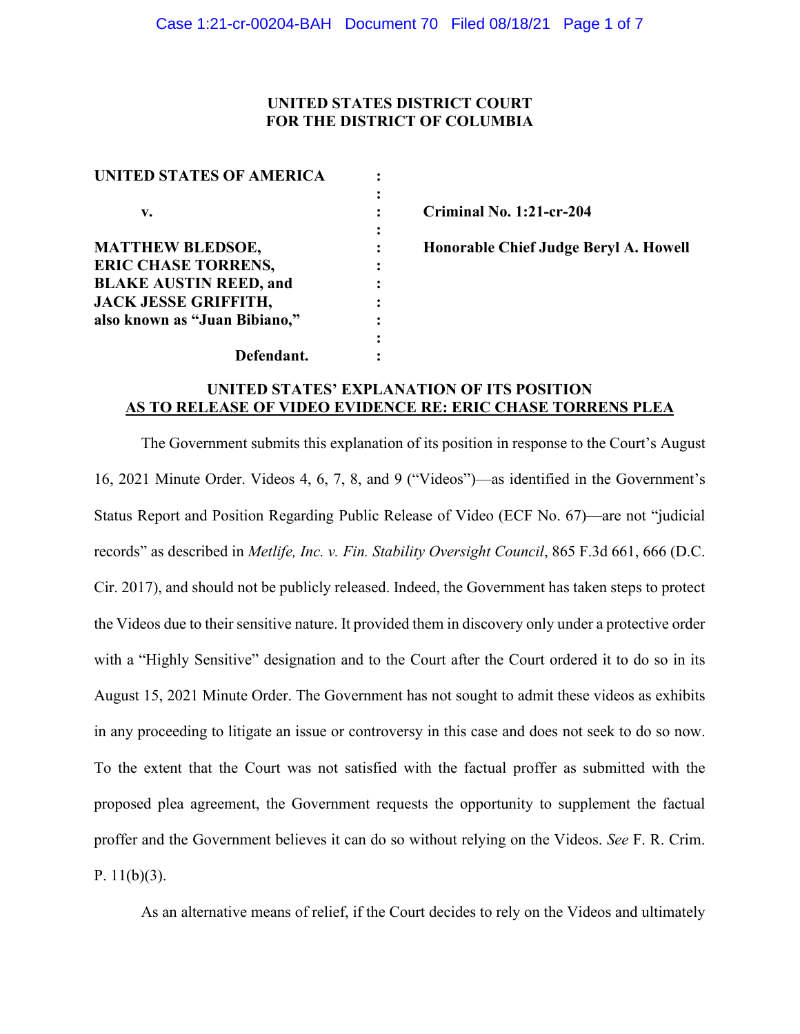# **UNITED STATES DISTRICT COURT FOR THE DISTRICT OF COLUMBIA**

| <b>UNITED STATES OF AMERICA</b> |  |
|---------------------------------|--|
|                                 |  |
| $\mathbf{v}$ .                  |  |
|                                 |  |
| <b>MATTHEW BLEDSOE,</b>         |  |
| <b>ERIC CHASE TORRENS,</b>      |  |
| <b>BLAKE AUSTIN REED, and</b>   |  |
| <b>JACK JESSE GRIFFITH,</b>     |  |
| also known as "Juan Bibiano,"   |  |
|                                 |  |
| Defendant.                      |  |

**v. : Criminal No. 1:21-cr-204**

**Honorable Chief Judge Beryl A. Howell** 

# **UNITED STATES' EXPLANATION OF ITS POSITION AS TO RELEASE OF VIDEO EVIDENCE RE: ERIC CHASE TORRENS PLEA**

The Government submits this explanation of its position in response to the Court's August 16, 2021 Minute Order. Videos 4, 6, 7, 8, and 9 ("Videos")—as identified in the Government's Status Report and Position Regarding Public Release of Video (ECF No. 67)—are not "judicial records" as described in *Metlife, Inc. v. Fin. Stability Oversight Council*, 865 F.3d 661, 666 (D.C. Cir. 2017), and should not be publicly released. Indeed, the Government has taken steps to protect the Videos due to their sensitive nature. It provided them in discovery only under a protective order with a "Highly Sensitive" designation and to the Court after the Court ordered it to do so in its August 15, 2021 Minute Order. The Government has not sought to admit these videos as exhibits in any proceeding to litigate an issue or controversy in this case and does not seek to do so now. To the extent that the Court was not satisfied with the factual proffer as submitted with the proposed plea agreement, the Government requests the opportunity to supplement the factual proffer and the Government believes it can do so without relying on the Videos. *See* F. R. Crim. P.  $11(b)(3)$ .

As an alternative means of relief, if the Court decides to rely on the Videos and ultimately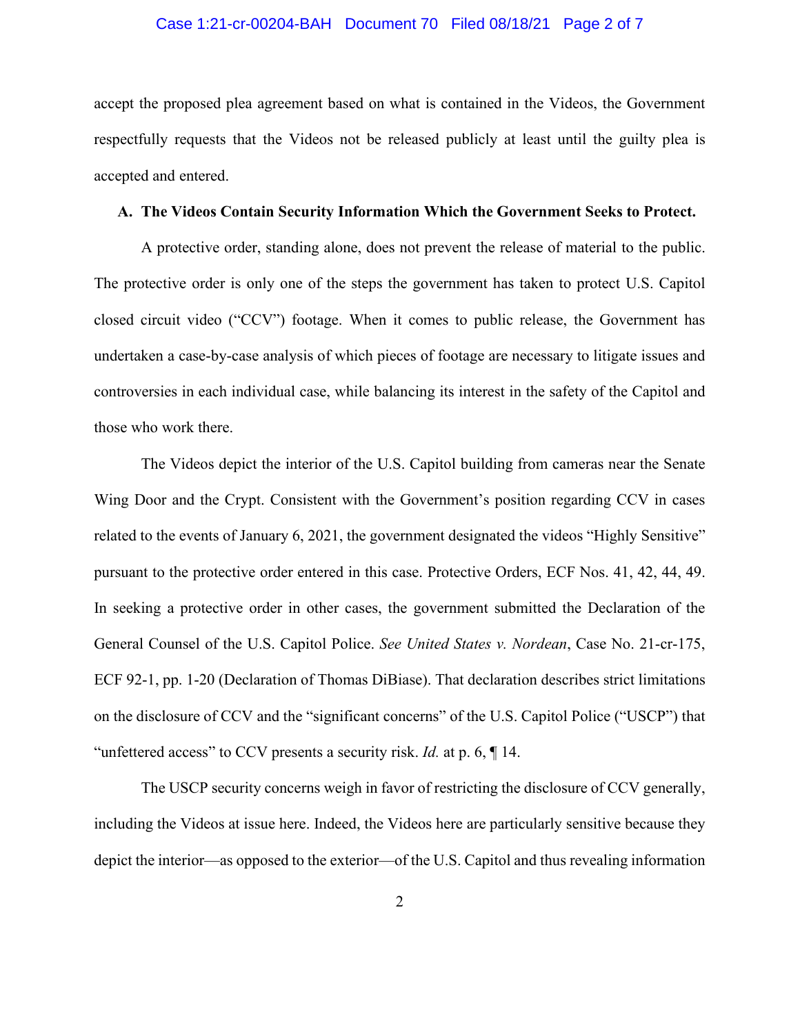### Case 1:21-cr-00204-BAH Document 70 Filed 08/18/21 Page 2 of 7

accept the proposed plea agreement based on what is contained in the Videos, the Government respectfully requests that the Videos not be released publicly at least until the guilty plea is accepted and entered.

#### **A. The Videos Contain Security Information Which the Government Seeks to Protect.**

A protective order, standing alone, does not prevent the release of material to the public. The protective order is only one of the steps the government has taken to protect U.S. Capitol closed circuit video ("CCV") footage. When it comes to public release, the Government has undertaken a case-by-case analysis of which pieces of footage are necessary to litigate issues and controversies in each individual case, while balancing its interest in the safety of the Capitol and those who work there.

The Videos depict the interior of the U.S. Capitol building from cameras near the Senate Wing Door and the Crypt. Consistent with the Government's position regarding CCV in cases related to the events of January 6, 2021, the government designated the videos "Highly Sensitive" pursuant to the protective order entered in this case. Protective Orders, ECF Nos. 41, 42, 44, 49. In seeking a protective order in other cases, the government submitted the Declaration of the General Counsel of the U.S. Capitol Police. *See United States v. Nordean*, Case No. 21-cr-175, ECF 92-1, pp. 1-20 (Declaration of Thomas DiBiase). That declaration describes strict limitations on the disclosure of CCV and the "significant concerns" of the U.S. Capitol Police ("USCP") that "unfettered access" to CCV presents a security risk. *Id.* at p. 6, ¶ 14.

The USCP security concerns weigh in favor of restricting the disclosure of CCV generally, including the Videos at issue here. Indeed, the Videos here are particularly sensitive because they depict the interior—as opposed to the exterior—of the U.S. Capitol and thus revealing information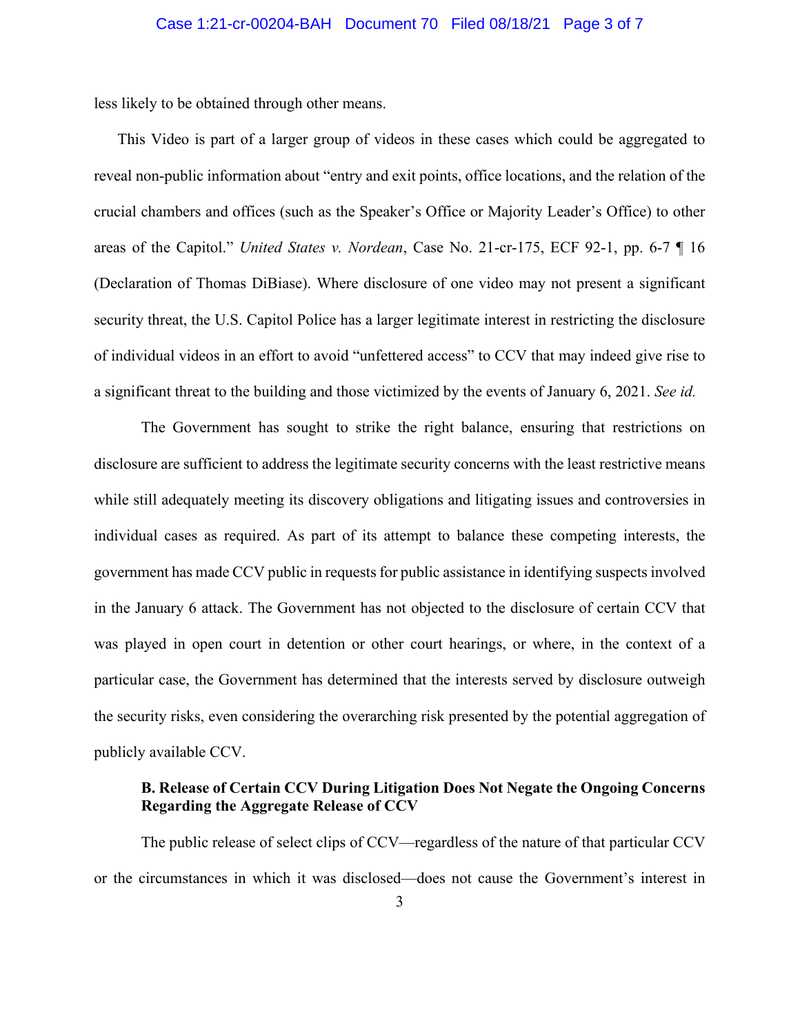less likely to be obtained through other means.

This Video is part of a larger group of videos in these cases which could be aggregated to reveal non-public information about "entry and exit points, office locations, and the relation of the crucial chambers and offices (such as the Speaker's Office or Majority Leader's Office) to other areas of the Capitol." *United States v. Nordean*, Case No. 21-cr-175, ECF 92-1, pp. 6-7 ¶ 16 (Declaration of Thomas DiBiase). Where disclosure of one video may not present a significant security threat, the U.S. Capitol Police has a larger legitimate interest in restricting the disclosure of individual videos in an effort to avoid "unfettered access" to CCV that may indeed give rise to a significant threat to the building and those victimized by the events of January 6, 2021. *See id.* 

The Government has sought to strike the right balance, ensuring that restrictions on disclosure are sufficient to address the legitimate security concerns with the least restrictive means while still adequately meeting its discovery obligations and litigating issues and controversies in individual cases as required. As part of its attempt to balance these competing interests, the government has made CCV public in requests for public assistance in identifying suspects involved in the January 6 attack. The Government has not objected to the disclosure of certain CCV that was played in open court in detention or other court hearings, or where, in the context of a particular case, the Government has determined that the interests served by disclosure outweigh the security risks, even considering the overarching risk presented by the potential aggregation of publicly available CCV.

# **B. Release of Certain CCV During Litigation Does Not Negate the Ongoing Concerns Regarding the Aggregate Release of CCV**

The public release of select clips of CCV—regardless of the nature of that particular CCV or the circumstances in which it was disclosed—does not cause the Government's interest in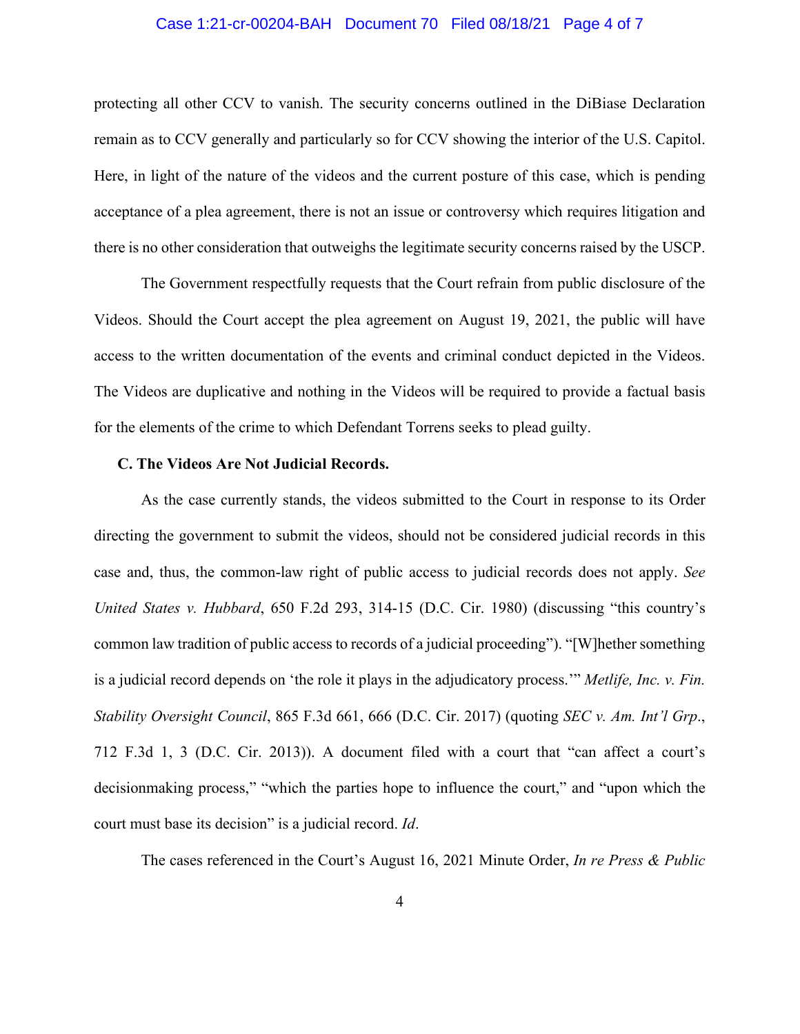### Case 1:21-cr-00204-BAH Document 70 Filed 08/18/21 Page 4 of 7

protecting all other CCV to vanish. The security concerns outlined in the DiBiase Declaration remain as to CCV generally and particularly so for CCV showing the interior of the U.S. Capitol. Here, in light of the nature of the videos and the current posture of this case, which is pending acceptance of a plea agreement, there is not an issue or controversy which requires litigation and there is no other consideration that outweighs the legitimate security concerns raised by the USCP.

The Government respectfully requests that the Court refrain from public disclosure of the Videos. Should the Court accept the plea agreement on August 19, 2021, the public will have access to the written documentation of the events and criminal conduct depicted in the Videos. The Videos are duplicative and nothing in the Videos will be required to provide a factual basis for the elements of the crime to which Defendant Torrens seeks to plead guilty.

### **C. The Videos Are Not Judicial Records.**

As the case currently stands, the videos submitted to the Court in response to its Order directing the government to submit the videos, should not be considered judicial records in this case and, thus, the common-law right of public access to judicial records does not apply. *See United States v. Hubbard*, 650 F.2d 293, 314-15 (D.C. Cir. 1980) (discussing "this country's common law tradition of public access to records of a judicial proceeding"). "[W]hether something is a judicial record depends on 'the role it plays in the adjudicatory process.'" *Metlife, Inc. v. Fin. Stability Oversight Council*, 865 F.3d 661, 666 (D.C. Cir. 2017) (quoting *SEC v. Am. Int'l Grp*., 712 F.3d 1, 3 (D.C. Cir. 2013)). A document filed with a court that "can affect a court's decisionmaking process," "which the parties hope to influence the court," and "upon which the court must base its decision" is a judicial record. *Id*.

The cases referenced in the Court's August 16, 2021 Minute Order, *In re Press & Public*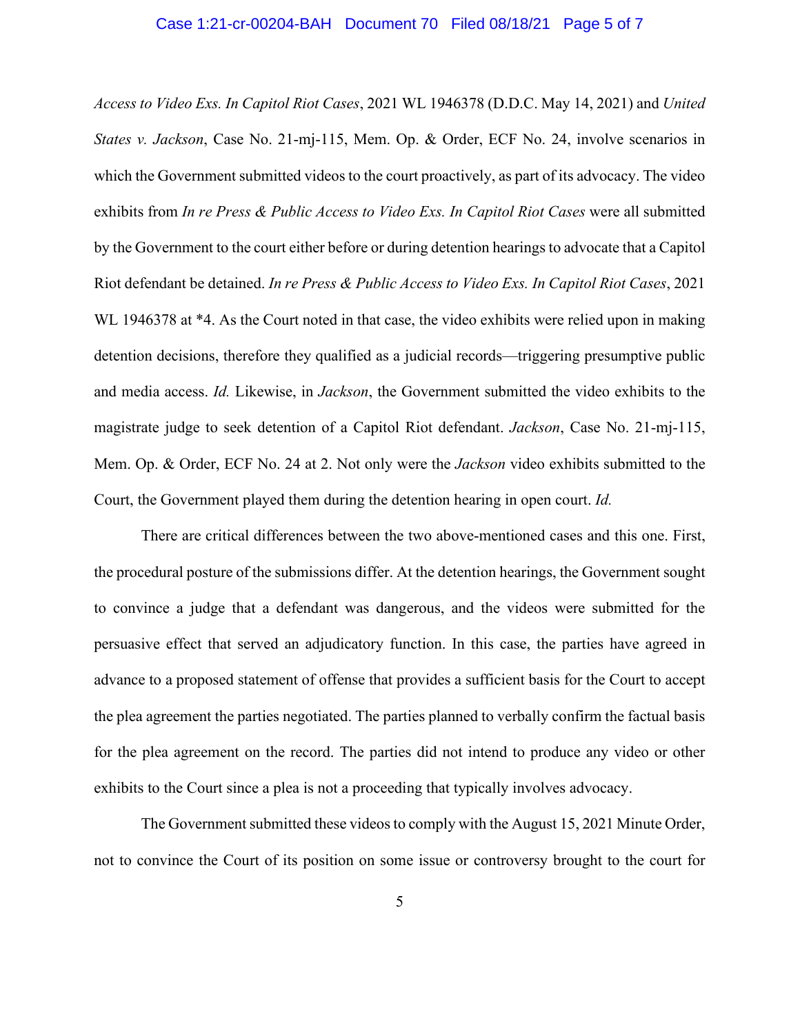#### Case 1:21-cr-00204-BAH Document 70 Filed 08/18/21 Page 5 of 7

*Access to Video Exs. In Capitol Riot Cases*, 2021 WL 1946378 (D.D.C. May 14, 2021) and *United States v. Jackson*, Case No. 21-mj-115, Mem. Op. & Order, ECF No. 24, involve scenarios in which the Government submitted videos to the court proactively, as part of its advocacy. The video exhibits from *In re Press & Public Access to Video Exs. In Capitol Riot Cases* were all submitted by the Government to the court either before or during detention hearings to advocate that a Capitol Riot defendant be detained. *In re Press & Public Access to Video Exs. In Capitol Riot Cases*, 2021 WL 1946378 at \*4. As the Court noted in that case, the video exhibits were relied upon in making detention decisions, therefore they qualified as a judicial records—triggering presumptive public and media access. *Id.* Likewise, in *Jackson*, the Government submitted the video exhibits to the magistrate judge to seek detention of a Capitol Riot defendant. *Jackson*, Case No. 21-mj-115, Mem. Op. & Order, ECF No. 24 at 2. Not only were the *Jackson* video exhibits submitted to the Court, the Government played them during the detention hearing in open court. *Id.*

There are critical differences between the two above-mentioned cases and this one. First, the procedural posture of the submissions differ. At the detention hearings, the Government sought to convince a judge that a defendant was dangerous, and the videos were submitted for the persuasive effect that served an adjudicatory function. In this case, the parties have agreed in advance to a proposed statement of offense that provides a sufficient basis for the Court to accept the plea agreement the parties negotiated. The parties planned to verbally confirm the factual basis for the plea agreement on the record. The parties did not intend to produce any video or other exhibits to the Court since a plea is not a proceeding that typically involves advocacy.

The Government submitted these videos to comply with the August 15, 2021 Minute Order, not to convince the Court of its position on some issue or controversy brought to the court for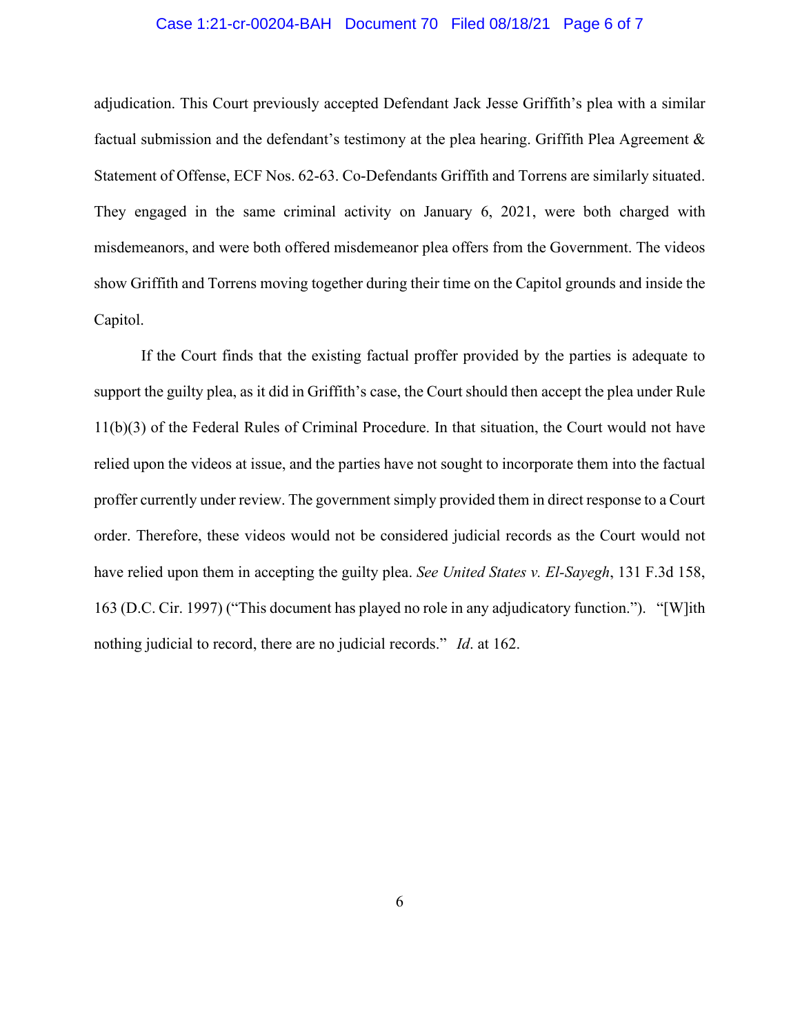### Case 1:21-cr-00204-BAH Document 70 Filed 08/18/21 Page 6 of 7

adjudication. This Court previously accepted Defendant Jack Jesse Griffith's plea with a similar factual submission and the defendant's testimony at the plea hearing. Griffith Plea Agreement & Statement of Offense, ECF Nos. 62-63. Co-Defendants Griffith and Torrens are similarly situated. They engaged in the same criminal activity on January 6, 2021, were both charged with misdemeanors, and were both offered misdemeanor plea offers from the Government. The videos show Griffith and Torrens moving together during their time on the Capitol grounds and inside the Capitol.

If the Court finds that the existing factual proffer provided by the parties is adequate to support the guilty plea, as it did in Griffith's case, the Court should then accept the plea under Rule 11(b)(3) of the Federal Rules of Criminal Procedure. In that situation, the Court would not have relied upon the videos at issue, and the parties have not sought to incorporate them into the factual proffer currently under review. The government simply provided them in direct response to a Court order. Therefore, these videos would not be considered judicial records as the Court would not have relied upon them in accepting the guilty plea. *See United States v. El-Sayegh*, 131 F.3d 158, 163 (D.C. Cir. 1997) ("This document has played no role in any adjudicatory function."). "[W]ith nothing judicial to record, there are no judicial records." *Id*. at 162.